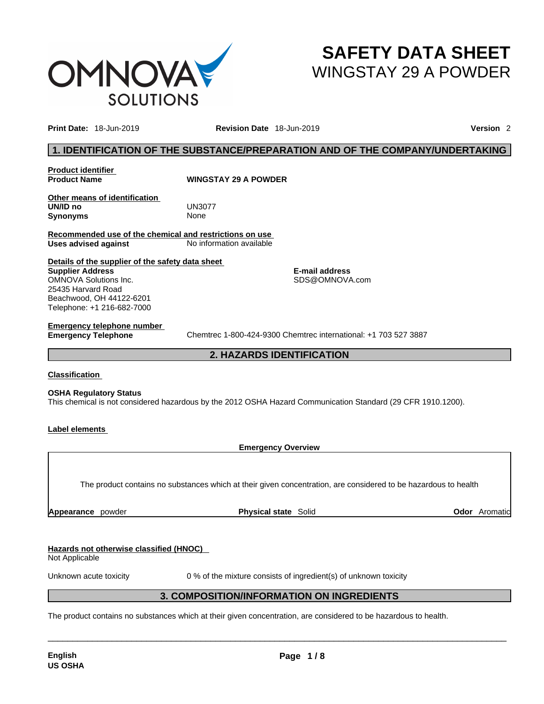

# **SAFETY DATA SHEET** WINGSTAY 29 A POWDER

**Print Date:** 18-Jun-2019 **Revision Date** 18-Jun-2019 **Version** 2

# **1. IDENTIFICATION OF THE SUBSTANCE/PREPARATION AND OF THE COMPANY/UNDERTAKING**

**Product identifier**

**Product Name WINGSTAY 29 A POWDER** 

**Other means of identification UN/ID no** UN3077 **Synonyms** None

**Recommended use of the chemical and restrictions on use Uses advised against** No information available

**Details of the supplier of the safety data sheet Supplier Address** OMNOVA Solutions Inc. 25435 Harvard Road Beachwood, OH 44122-6201 Telephone: +1 216-682-7000

**E-mail address** SDS@OMNOVA.com

# **Emergency telephone number**

**Emergency Telephone** Chemtrec 1-800-424-9300 Chemtrec international: +1 703 527 3887

**2. HAZARDS IDENTIFICATION** 

## **Classification**

**OSHA Regulatory Status** This chemical is not considered hazardous by the 2012 OSHA Hazard Communication Standard (29 CFR 1910.1200).

## **Label elements**

**Emergency Overview** 

The product contains no substances which at their given concentration, are considered to be hazardous to health

**Appearance** powder **Physical state** Solid **Odor** Aromatic

## **Hazards not otherwise classified (HNOC)**

Not Applicable

Unknown acute toxicity 0% of the mixture consists of ingredient(s) of unknown toxicity

## **3. COMPOSITION/INFORMATION ON INGREDIENTS**

 $\_$  ,  $\_$  ,  $\_$  ,  $\_$  ,  $\_$  ,  $\_$  ,  $\_$  ,  $\_$  ,  $\_$  ,  $\_$  ,  $\_$  ,  $\_$  ,  $\_$  ,  $\_$  ,  $\_$  ,  $\_$  ,  $\_$  ,  $\_$  ,  $\_$  ,  $\_$  ,  $\_$  ,  $\_$  ,  $\_$  ,  $\_$  ,  $\_$  ,  $\_$  ,  $\_$  ,  $\_$  ,  $\_$  ,  $\_$  ,  $\_$  ,  $\_$  ,  $\_$  ,  $\_$  ,  $\_$  ,  $\_$  ,  $\_$  ,

The product contains no substances which at their given concentration, are considered to be hazardous to health.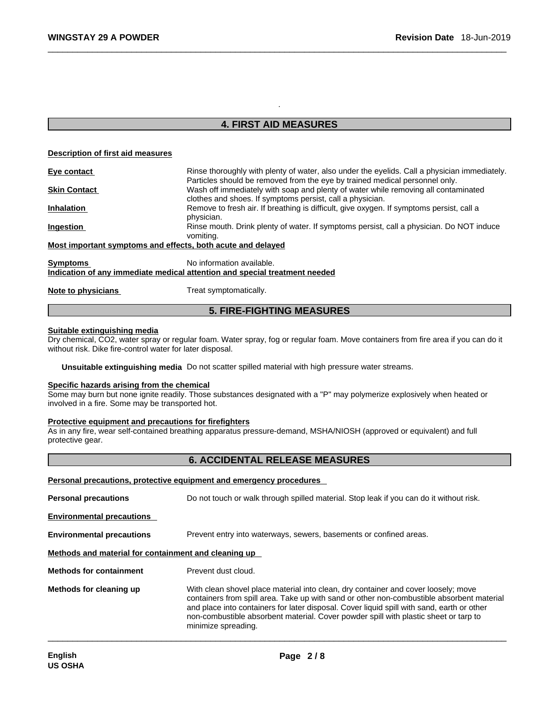# **4. FIRST AID MEASURES**

.

#### **Description of first aid measures**

| Eye contact                                                 | Rinse thoroughly with plenty of water, also under the eyelids. Call a physician immediately. |
|-------------------------------------------------------------|----------------------------------------------------------------------------------------------|
|                                                             | Particles should be removed from the eye by trained medical personnel only.                  |
| <b>Skin Contact</b>                                         | Wash off immediately with soap and plenty of water while removing all contaminated           |
|                                                             | clothes and shoes. If symptoms persist, call a physician.                                    |
| <b>Inhalation</b>                                           | Remove to fresh air. If breathing is difficult, give oxygen. If symptoms persist, call a     |
|                                                             | physician.                                                                                   |
| Ingestion                                                   | Rinse mouth. Drink plenty of water. If symptoms persist, call a physician. Do NOT induce     |
|                                                             | vomiting.                                                                                    |
| Most important symptoms and effects, both acute and delayed |                                                                                              |
| <b>Symptoms</b>                                             | No information available.                                                                    |
|                                                             | Indication of any immediate medical attention and special treatment needed                   |
|                                                             |                                                                                              |
| Note to physicians                                          | Treat symptomatically.                                                                       |

# **5. FIRE-FIGHTING MEASURES**

## **Suitable extinguishing media**

Dry chemical, CO2, water spray or regular foam. Water spray, fog or regular foam. Move containers from fire area if you can do it without risk. Dike fire-control water for later disposal.

**Unsuitable extinguishing media** Do not scatter spilled material with high pressure water streams.

# **Specific hazards arising from the chemical**

Some may burn but none ignite readily. Those substances designated with a "P" may polymerize explosively when heated or involved in a fire. Some may be transported hot.

#### **Protective equipment and precautions for firefighters**

As in any fire, wear self-contained breathing apparatus pressure-demand, MSHA/NIOSH (approved or equivalent) and full protective gear.

## **6. ACCIDENTAL RELEASE MEASURES**

#### **Personal precautions, protective equipment and emergency procedures**

| <b>Personal precautions</b>                          | Do not touch or walk through spilled material. Stop leak if you can do it without risk.                                                                                                                                                                                                                                                                                                      |  |  |
|------------------------------------------------------|----------------------------------------------------------------------------------------------------------------------------------------------------------------------------------------------------------------------------------------------------------------------------------------------------------------------------------------------------------------------------------------------|--|--|
| <b>Environmental precautions</b>                     |                                                                                                                                                                                                                                                                                                                                                                                              |  |  |
| <b>Environmental precautions</b>                     | Prevent entry into waterways, sewers, basements or confined areas.                                                                                                                                                                                                                                                                                                                           |  |  |
| Methods and material for containment and cleaning up |                                                                                                                                                                                                                                                                                                                                                                                              |  |  |
| <b>Methods for containment</b>                       | Prevent dust cloud.                                                                                                                                                                                                                                                                                                                                                                          |  |  |
| Methods for cleaning up                              | With clean shovel place material into clean, dry container and cover loosely; move<br>containers from spill area. Take up with sand or other non-combustible absorbent material<br>and place into containers for later disposal. Cover liquid spill with sand, earth or other<br>non-combustible absorbent material. Cover powder spill with plastic sheet or tarp to<br>minimize spreading. |  |  |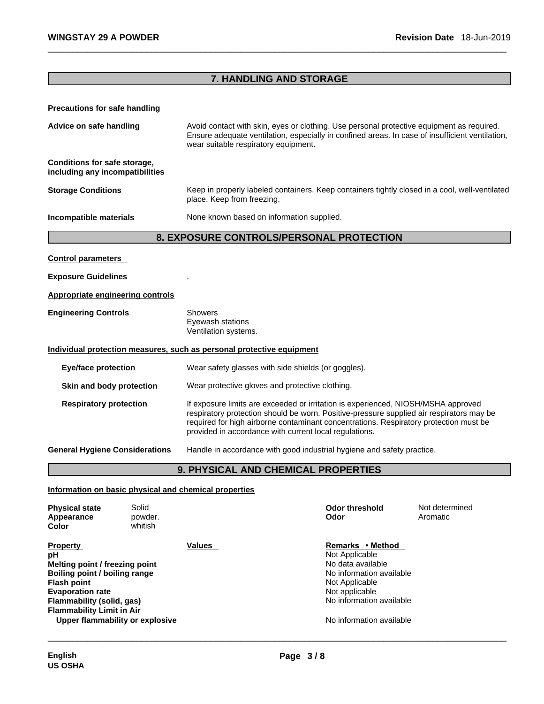# **7. HANDLING AND STORAGE**

| <b>Precautions for safe handling</b>                            |                             |                                                                                                                                                                                                                                                                                                                                  |                                    |                            |
|-----------------------------------------------------------------|-----------------------------|----------------------------------------------------------------------------------------------------------------------------------------------------------------------------------------------------------------------------------------------------------------------------------------------------------------------------------|------------------------------------|----------------------------|
| Advice on safe handling                                         |                             | Avoid contact with skin, eyes or clothing. Use personal protective equipment as required.<br>Ensure adequate ventilation, especially in confined areas. In case of insufficient ventilation,<br>wear suitable respiratory equipment.                                                                                             |                                    |                            |
| Conditions for safe storage,<br>including any incompatibilities |                             |                                                                                                                                                                                                                                                                                                                                  |                                    |                            |
| <b>Storage Conditions</b>                                       |                             | Keep in properly labeled containers. Keep containers tightly closed in a cool, well-ventilated<br>place. Keep from freezing.                                                                                                                                                                                                     |                                    |                            |
| Incompatible materials                                          |                             | None known based on information supplied.                                                                                                                                                                                                                                                                                        |                                    |                            |
|                                                                 |                             | 8. EXPOSURE CONTROLS/PERSONAL PROTECTION                                                                                                                                                                                                                                                                                         |                                    |                            |
| <b>Control parameters</b>                                       |                             |                                                                                                                                                                                                                                                                                                                                  |                                    |                            |
| <b>Exposure Guidelines</b>                                      |                             |                                                                                                                                                                                                                                                                                                                                  |                                    |                            |
| Appropriate engineering controls                                |                             |                                                                                                                                                                                                                                                                                                                                  |                                    |                            |
| <b>Engineering Controls</b>                                     |                             | <b>Showers</b><br>Eyewash stations<br>Ventilation systems.                                                                                                                                                                                                                                                                       |                                    |                            |
|                                                                 |                             | Individual protection measures, such as personal protective equipment                                                                                                                                                                                                                                                            |                                    |                            |
| <b>Eye/face protection</b>                                      |                             | Wear safety glasses with side shields (or goggles).                                                                                                                                                                                                                                                                              |                                    |                            |
| Skin and body protection                                        |                             | Wear protective gloves and protective clothing.                                                                                                                                                                                                                                                                                  |                                    |                            |
| <b>Respiratory protection</b>                                   |                             | If exposure limits are exceeded or irritation is experienced, NIOSH/MSHA approved<br>respiratory protection should be worn. Positive-pressure supplied air respirators may be<br>required for high airborne contaminant concentrations. Respiratory protection must be<br>provided in accordance with current local regulations. |                                    |                            |
| <b>General Hygiene Considerations</b>                           |                             | Handle in accordance with good industrial hygiene and safety practice.                                                                                                                                                                                                                                                           |                                    |                            |
|                                                                 |                             | 9. PHYSICAL AND CHEMICAL PROPERTIES                                                                                                                                                                                                                                                                                              |                                    |                            |
|                                                                 |                             | Information on basic physical and chemical properties                                                                                                                                                                                                                                                                            |                                    |                            |
| <b>Physical state</b><br>Appearance<br>Color                    | Solid<br>powder.<br>whitish |                                                                                                                                                                                                                                                                                                                                  | <b>Odor threshold</b><br>Odor      | Not determined<br>Aromatic |
| <b>Property</b><br>рH                                           |                             | Values                                                                                                                                                                                                                                                                                                                           | Remarks • Method<br>Not Applicable |                            |

**Melting point / freezing point** No data available **Boiling point / boiling range No information available No information available Flash point Contract Applicable Contract Applicable Not Applicable Not Applicable Evaporation rate rate**  $\blacksquare$  **Example 20** Not applicable **Flammability (solid, gas)** Noting the Second Muslim Control of the Muslim Control of the Muslim Control of the Muslim Control of the Muslim Control of the Muslim Control of the Muslim Control of the Muslim Control of the **Flammability Limit in Air Upper flammability or explosive** Noinformation available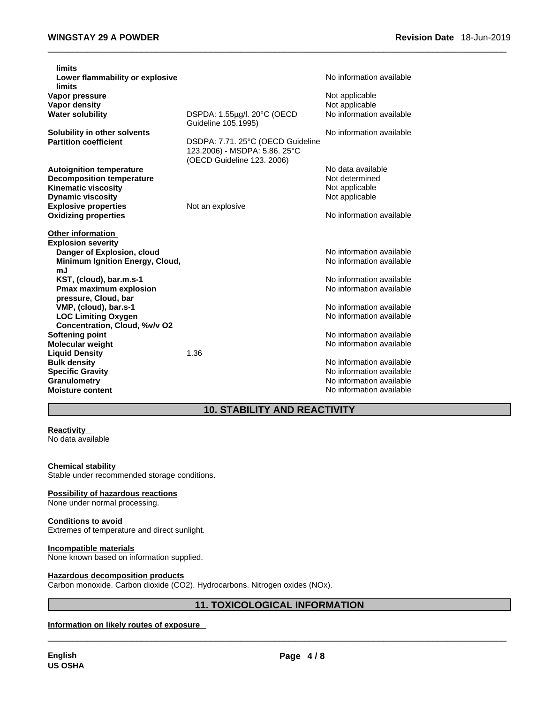|                                                             | No information available                                      |
|-------------------------------------------------------------|---------------------------------------------------------------|
|                                                             | Not applicable                                                |
|                                                             | Not applicable                                                |
| DSPDA: 1.55µg/l. 20°C (OECD<br>Guideline 105.1995)          | No information available                                      |
|                                                             | No information available                                      |
| 123.2006) - MSDPA: 5.86. 25°C<br>(OECD Guideline 123. 2006) |                                                               |
|                                                             | No data available                                             |
|                                                             | Not determined                                                |
|                                                             | Not applicable<br>Not applicable                              |
|                                                             |                                                               |
|                                                             | No information available                                      |
|                                                             |                                                               |
|                                                             | No information available                                      |
|                                                             | No information available                                      |
|                                                             | No information available                                      |
|                                                             | No information available                                      |
|                                                             |                                                               |
|                                                             | No information available<br>No information available          |
|                                                             |                                                               |
|                                                             | No information available                                      |
|                                                             | No information available                                      |
|                                                             | No information available                                      |
|                                                             | No information available                                      |
|                                                             | No information available                                      |
|                                                             | No information available                                      |
|                                                             | DSDPA: 7.71. 25°C (OECD Guideline<br>Not an explosive<br>1.36 |

# **10. STABILITY AND REACTIVITY**

# **Reactivity**

No data available

# **Chemical stability**

Stable under recommended storage conditions.

## **Possibility of hazardous reactions**

None under normal processing.

## **Conditions to avoid**

Extremes of temperature and direct sunlight.

#### **Incompatible materials**

None known based on information supplied.

#### **Hazardous decomposition products**

Carbon monoxide. Carbon dioxide (CO2). Hydrocarbons. Nitrogen oxides (NOx).

# **11. TOXICOLOGICAL INFORMATION**

 $\_$  ,  $\_$  ,  $\_$  ,  $\_$  ,  $\_$  ,  $\_$  ,  $\_$  ,  $\_$  ,  $\_$  ,  $\_$  ,  $\_$  ,  $\_$  ,  $\_$  ,  $\_$  ,  $\_$  ,  $\_$  ,  $\_$  ,  $\_$  ,  $\_$  ,  $\_$  ,  $\_$  ,  $\_$  ,  $\_$  ,  $\_$  ,  $\_$  ,  $\_$  ,  $\_$  ,  $\_$  ,  $\_$  ,  $\_$  ,  $\_$  ,  $\_$  ,  $\_$  ,  $\_$  ,  $\_$  ,  $\_$  ,  $\_$  ,

# **Information on likely routes of exposure**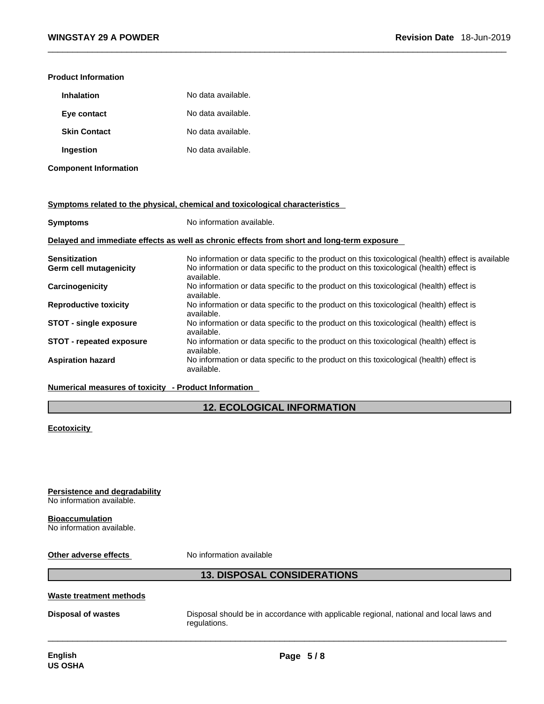#### **Product Information**

| <b>Inhalation</b>   | No data available. |
|---------------------|--------------------|
| Eye contact         | No data available. |
| <b>Skin Contact</b> | No data available. |
| Ingestion           | No data available. |

**Component Information**

**<u>Symptoms related to the physical, chemical and toxicological characteristics</u>** 

| <b>Symptoms</b>                 | No information available.                                                                             |
|---------------------------------|-------------------------------------------------------------------------------------------------------|
|                                 | Delayed and immediate effects as well as chronic effects from short and long-term exposure            |
| <b>Sensitization</b>            | No information or data specific to the product on this toxicological (health) effect is available     |
| Germ cell mutagenicity          | No information or data specific to the product on this toxicological (health) effect is<br>available. |
| Carcinogenicity                 | No information or data specific to the product on this toxicological (health) effect is<br>available. |
| <b>Reproductive toxicity</b>    | No information or data specific to the product on this toxicological (health) effect is<br>available. |
| <b>STOT - single exposure</b>   | No information or data specific to the product on this toxicological (health) effect is<br>available. |
| <b>STOT - repeated exposure</b> | No information or data specific to the product on this toxicological (health) effect is<br>available. |
| <b>Aspiration hazard</b>        | No information or data specific to the product on this toxicological (health) effect is<br>available. |

## **Numerical measures of toxicity - Product Information**

# **12. ECOLOGICAL INFORMATION**

#### **Ecotoxicity**

**Persistence and degradability** No information available.

## **Bioaccumulation**

No information available.

**Other adverse effects** No information available

# **13. DISPOSAL CONSIDERATIONS**

 $\_$  ,  $\_$  ,  $\_$  ,  $\_$  ,  $\_$  ,  $\_$  ,  $\_$  ,  $\_$  ,  $\_$  ,  $\_$  ,  $\_$  ,  $\_$  ,  $\_$  ,  $\_$  ,  $\_$  ,  $\_$  ,  $\_$  ,  $\_$  ,  $\_$  ,  $\_$  ,  $\_$  ,  $\_$  ,  $\_$  ,  $\_$  ,  $\_$  ,  $\_$  ,  $\_$  ,  $\_$  ,  $\_$  ,  $\_$  ,  $\_$  ,  $\_$  ,  $\_$  ,  $\_$  ,  $\_$  ,  $\_$  ,  $\_$  ,

### **Waste treatment methods**

**Disposal of wastes** Disposal should be in accordance with applicable regional, national and local laws and regulations.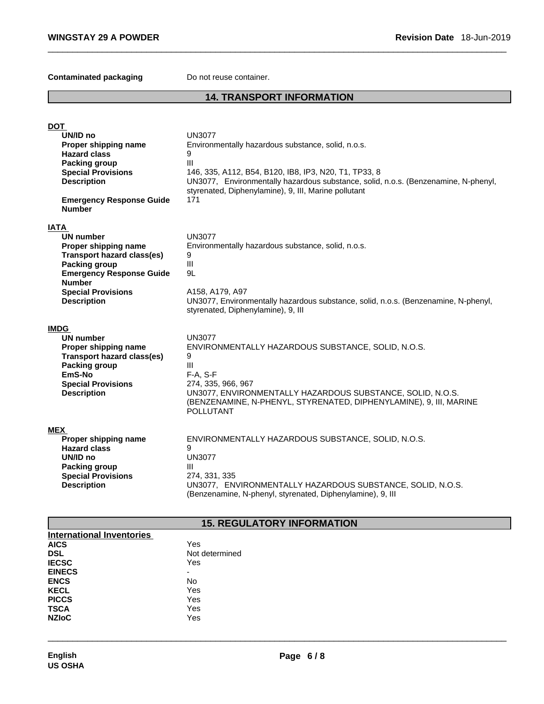**Contaminated packaging** Do not reuse container.

# **14. TRANSPORT INFORMATION**

| <b>DOT</b>                                                                                                                                                                                                                  |                                                                                                                                                                                                                                                                                               |
|-----------------------------------------------------------------------------------------------------------------------------------------------------------------------------------------------------------------------------|-----------------------------------------------------------------------------------------------------------------------------------------------------------------------------------------------------------------------------------------------------------------------------------------------|
| UN/ID no<br>Proper shipping name<br><b>Hazard class</b><br><b>Packing group</b><br><b>Special Provisions</b><br><b>Description</b><br><b>Emergency Response Guide</b><br><b>Number</b>                                      | <b>UN3077</b><br>Environmentally hazardous substance, solid, n.o.s.<br>9<br>III<br>146, 335, A112, B54, B120, IB8, IP3, N20, T1, TP33, 8<br>UN3077, Environmentally hazardous substance, solid, n.o.s. (Benzenamine, N-phenyl,<br>styrenated, Diphenylamine), 9, III, Marine pollutant<br>171 |
| <b>IATA</b><br><b>UN number</b><br>Proper shipping name<br><b>Transport hazard class(es)</b><br><b>Packing group</b><br><b>Emergency Response Guide</b><br><b>Number</b><br><b>Special Provisions</b><br><b>Description</b> | <b>UN3077</b><br>Environmentally hazardous substance, solid, n.o.s.<br>9<br>III<br>9L<br>A158, A179, A97<br>UN3077, Environmentally hazardous substance, solid, n.o.s. (Benzenamine, N-phenyl,<br>styrenated, Diphenylamine), 9, III                                                          |
| <b>IMDG</b><br><b>UN number</b><br>Proper shipping name<br><b>Transport hazard class(es)</b><br><b>Packing group</b><br>EmS-No<br><b>Special Provisions</b><br><b>Description</b>                                           | <b>UN3077</b><br>ENVIRONMENTALLY HAZARDOUS SUBSTANCE, SOLID, N.O.S.<br>9<br>III<br>F-A, S-F<br>274, 335, 966, 967<br>UN3077, ENVIRONMENTALLY HAZARDOUS SUBSTANCE, SOLID, N.O.S.<br>(BENZENAMINE, N-PHENYL, STYRENATED, DIPHENYLAMINE), 9, III, MARINE<br><b>POLLUTANT</b>                     |
| <b>MEX</b><br>Proper shipping name<br><b>Hazard class</b><br>UN/ID no<br>Packing group<br><b>Special Provisions</b><br><b>Description</b>                                                                                   | ENVIRONMENTALLY HAZARDOUS SUBSTANCE, SOLID, N.O.S.<br>9<br><b>UN3077</b><br>III<br>274, 331, 335<br>UN3077, ENVIRONMENTALLY HAZARDOUS SUBSTANCE, SOLID, N.O.S.<br>(Benzenamine, N-phenyl, styrenated, Diphenylamine), 9, III                                                                  |

# **15. REGULATORY INFORMATION**

| International Inventories |                |
|---------------------------|----------------|
| <b>AICS</b>               | Yes            |
| <b>DSL</b>                | Not determined |
| <b>IECSC</b>              | Yes            |
| <b>EINECS</b>             |                |
| <b>ENCS</b>               | No             |
| <b>KECL</b>               | Yes            |
| <b>PICCS</b>              | Yes            |
| <b>TSCA</b>               | Yes            |
| <b>NZIoC</b>              | Yes            |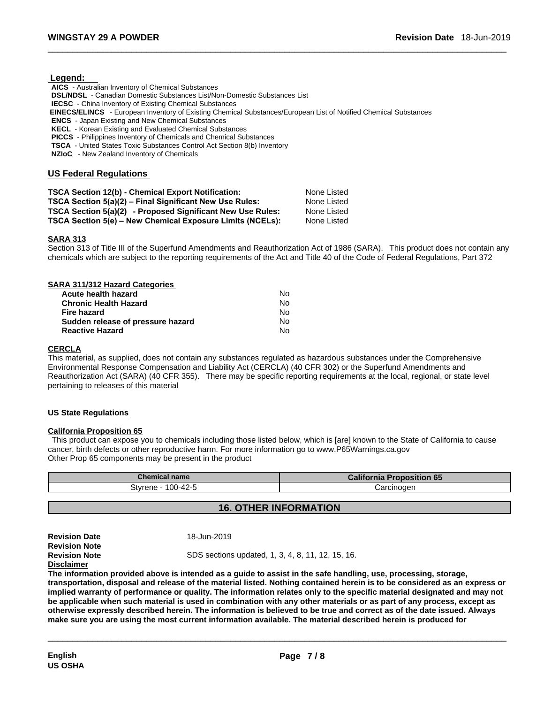#### **Legend:**

**AICS** - Australian Inventory of Chemical Substances

**DSL/NDSL** - Canadian Domestic Substances List/Non-Domestic Substances List

**IECSC** - China Inventory of Existing Chemical Substances

 **EINECS/ELINCS** - European Inventory of Existing Chemical Substances/European List of Notified Chemical Substances

**ENCS** - Japan Existing and New Chemical Substances

**KECL** - Korean Existing and Evaluated Chemical Substances

**PICCS** - Philippines Inventory of Chemicals and Chemical Substances

**TSCA** - United States Toxic Substances Control Act Section 8(b) Inventory

**NZIoC** - New Zealand Inventory of Chemicals

## **US Federal Regulations**

| <b>TSCA Section 12(b) - Chemical Export Notification:</b>  | None Listed |
|------------------------------------------------------------|-------------|
| TSCA Section 5(a)(2) – Final Significant New Use Rules:    | None Listed |
| TSCA Section 5(a)(2) - Proposed Significant New Use Rules: | None Listed |
| TSCA Section 5(e) – New Chemical Exposure Limits (NCELs):  | None Listed |

## **SARA 313**

Section 313 of Title III of the Superfund Amendments and Reauthorization Act of 1986 (SARA). This product does not contain any chemicals which are subject to the reporting requirements of the Act and Title 40 of the Code of Federal Regulations, Part 372

| SARA 311/312 Hazard Categories    |    |  |
|-----------------------------------|----|--|
| Acute health hazard               | N٥ |  |
| <b>Chronic Health Hazard</b>      | No |  |
| <b>Fire hazard</b>                | No |  |
| Sudden release of pressure hazard | No |  |
| <b>Reactive Hazard</b>            | No |  |

## **CERCLA**

This material, as supplied, does not contain any substances regulated as hazardous substances under the Comprehensive Environmental Response Compensation and Liability Act (CERCLA) (40 CFR 302) or the Superfund Amendments and Reauthorization Act (SARA) (40 CFR 355). There may be specific reporting requirements at the local, regional, or state level pertaining to releases of this material

## **US State Regulations**

#### **California Proposition 65**

This product can expose you to chemicals including those listed below, which is [are] known to the State of California to cause cancer, birth defects or other reproductive harm. For more information go to www.P65Warnings.ca.gov Other Prop 65 components may be present in the product

| <b>Chemical name</b> | <b>California</b><br>oosition 65<br>на |
|----------------------|----------------------------------------|
| $A2-F$<br>stvrene.   | `arcinoger                             |

# **16. OTHER INFORMATION**

| <b>Revision Date</b> | 18-Jun-2019                                       |
|----------------------|---------------------------------------------------|
| <b>Revision Note</b> |                                                   |
| <b>Revision Note</b> | SDS sections updated, 1, 3, 4, 8, 11, 12, 15, 16. |
| <b>Disclaimer</b>    |                                                   |
|                      |                                                   |

The information provided above is intended as a guide to assist in the safe handling, use, processing, storage, transportation, disposal and release of the material listed. Nothing contained herein is to be considered as an express or implied warranty of performance or quality. The information relates only to the specific material designated and may not be applicable when such material is used in combination with any other materials or as part of any process, except as otherwise expressly described herein. The information is believed to be true and correct as of the date issued. Always **make sure you are using the most current information available. The material described herein isproduced for**